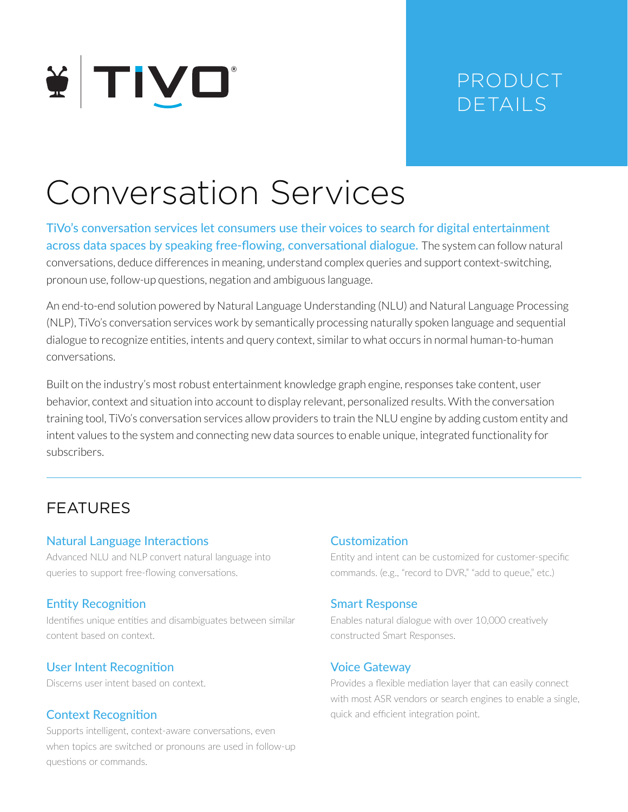

## PRODUCT DETAILS

# Conversation Services

TiVo's conversation services let consumers use their voices to search for digital entertainment across data spaces by speaking free-flowing, conversational dialogue. The system can follow natural conversations, deduce differences in meaning, understand complex queries and support context-switching, pronoun use, follow-up questions, negation and ambiguous language.

An end-to-end solution powered by Natural Language Understanding (NLU) and Natural Language Processing (NLP), TiVo's conversation services work by semantically processing naturally spoken language and sequential dialogue to recognize entities, intents and query context, similar to what occurs in normal human-to-human conversations.

Built on the industry's most robust entertainment knowledge graph engine, responses take content, user behavior, context and situation into account to display relevant, personalized results. With the conversation training tool, TiVo's conversation services allow providers to train the NLU engine by adding custom entity and intent values to the system and connecting new data sources to enable unique, integrated functionality for subscribers.

### FEATURES

#### Natural Language Interactions

Advanced NLU and NLP convert natural language into queries to support free-flowing conversations.

#### Entity Recognition

Identifies unique entities and disambiguates between similar content based on context.

#### User Intent Recognition

Discerns user intent based on context.

#### Context Recognition

Supports intelligent, context-aware conversations, even when topics are switched or pronouns are used in follow-up questions or commands.

#### **Customization**

Entity and intent can be customized for customer-specific commands. (e.g., "record to DVR," "add to queue," etc.)

#### Smart Response

Enables natural dialogue with over 10,000 creatively constructed Smart Responses.

#### Voice Gateway

Provides a flexible mediation layer that can easily connect with most ASR vendors or search engines to enable a single, quick and efficient integration point.